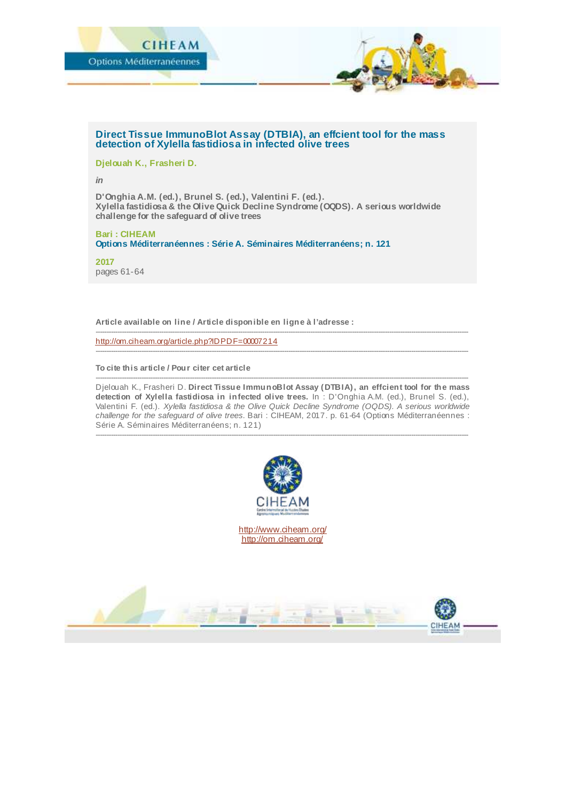

### **Direct Tissue ImmunoBlot Assay (DTBIA), an effcient tool for the mass detection of Xylella fastidiosa in infected olive trees**

**Djelouah K., Frasheri D.**

*in*

**D'Onghia A.M. (ed.), Brunel S. (ed.), Valentini F. (ed.). Xylella fastidiosa & the Olive Quick Decline Syndrome (OQDS). A serious worldwide challenge for the safeguard of olive trees**

**Bari : CIHEAM Options Méditerranéennes : Série A. Séminaires Méditerranéens; n. 121**

**2017** pages 61-64

**Article available on line / Article disponible en ligne à l'adresse :**

<http://om.ciheam.org/article.php?IDPDF=00007214>

**To cite this article / Pour citer cet article**

-------------------------------------------------------------------------------------------------------------------------------------------------------------------------- Djelouah K., Frasheri D. **Direct Tissue ImmunoBlot Assay (DTBIA), an effcient tool for the mass detection of Xylella fastidiosa in infected olive trees.** In : D'Onghia A.M. (ed.), Brunel S. (ed.), Valentini F. (ed.). *Xylella fastidiosa & the Olive Quick Decline Syndrome (OQDS). A serious worldwide challenge for the safeguard of olive trees.* Bari : CIHEAM, 2017. p. 61-64 (Options Méditerranéennes : Série A. Séminaires Méditerranéens; n. 121)

--------------------------------------------------------------------------------------------------------------------------------------------------------------------------

--------------------------------------------------------------------------------------------------------------------------------------------------------------------------

--------------------------------------------------------------------------------------------------------------------------------------------------------------------------



<http://www.ciheam.org/> <http://om.ciheam.org/>

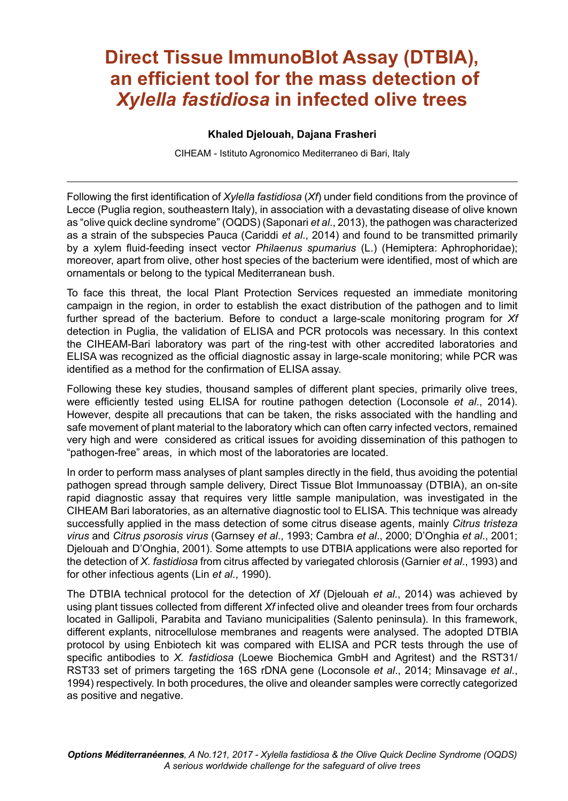# **Direct Tissue ImmunoBlot Assay (DTBIA), an eficient tool for the mass detection of**  *Xylella fastidiosa* **in infected olive trees**

#### **Khaled Djelouah, Dajana Frasheri**

CIHEAM - Istituto Agronomico Mediterraneo di Bari, Italy

Following the first identification of *Xylella fastidiosa (Xf*) under field conditions from the province of Lecce (Puglia region, southeastern Italy), in association with a devastating disease of olive known as "olive quick decline syndrome" (OQDS) (Saponari *et al.*, 2013), the pathogen was characterized as a strain of the subspecies Pauca (Cariddi *et al*., 2014) and found to be transmitted primarily by a xylem luid-feeding insect vector *Philaenus spumarius* (L.) (Hemiptera: Aphrophoridae); moreover, apart from olive, other host species of the bacterium were identiied, most of which are ornamentals or belong to the typical Mediterranean bush.

To face this threat, the local Plant Protection Services requested an immediate monitoring campaign in the region, in order to establish the exact distribution of the pathogen and to limit further spread of the bacterium. Before to conduct a large-scale monitoring program for *Xf*  detection in Puglia, the validation of ELISA and PCR protocols was necessary. In this context the CIHEAM-Bari laboratory was part of the ring-test with other accredited laboratories and ELISA was recognized as the oficial diagnostic assay in large-scale monitoring; while PCR was identified as a method for the confirmation of ELISA assay.

Following these key studies, thousand samples of different plant species, primarily olive trees, were eficiently tested using ELISA for routine pathogen detection (Loconsole *et al*., 2014). However, despite all precautions that can be taken, the risks associated with the handling and safe movement of plant material to the laboratory which can often carry infected vectors, remained very high and were considered as critical issues for avoiding dissemination of this pathogen to "pathogen-free" areas, in which most of the laboratories are located.

In order to perform mass analyses of plant samples directly in the ield, thus avoiding the potential pathogen spread through sample delivery, Direct Tissue Blot Immunoassay (DTBIA), an on-site rapid diagnostic assay that requires very little sample manipulation, was investigated in the CIHEAM Bari laboratories, as an alternative diagnostic tool to ELISA. This technique was already successfully applied in the mass detection of some citrus disease agents, mainly *Citrus tristeza virus* and *Citrus psorosis virus* (Garnsey *et al*., 1993; Cambra *et al*., 2000; DíOnghia *et al*., 2001; Djelouah and DíOnghia, 2001). Some attempts to use DTBIA applications were also reported for the detection of *X. fastidiosa* from citrus affected by variegated chlorosis (Garnier *et al*., 1993) and for other infectious agents (Lin *et al*., 1990).

The DTBIA technical protocol for the detection of *Xf* (Djelouah *et al*., 2014) was achieved by using plant tissues collected from different *Xf* infected olive and oleander trees from four orchards located in Gallipoli, Parabita and Taviano municipalities (Salento peninsula). In this framework, different explants, nitrocellulose membranes and reagents were analysed. The adopted DTBIA protocol by using Enbiotech kit was compared with ELISA and PCR tests through the use of specific antibodies to *X. fastidiosa* (Loewe Biochemica GmbH and Agritest) and the RST31/ RST33 set of primers targeting the 16S rDNA gene (Loconsole *et al*., 2014; Minsavage *et al*., 1994) respectively. In both procedures, the olive and oleander samples were correctly categorized as positive and negative.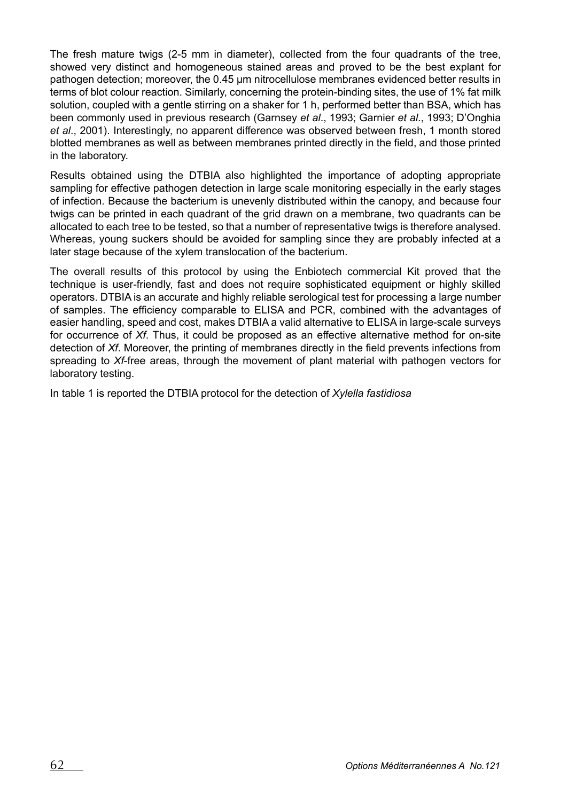The fresh mature twigs (2-5 mm in diameter), collected from the four quadrants of the tree, showed very distinct and homogeneous stained areas and proved to be the best explant for pathogen detection; moreover, the 0.45 um nitrocellulose membranes evidenced better results in terms of blot colour reaction. Similarly, concerning the protein-binding sites, the use of 1% fat milk solution, coupled with a gentle stirring on a shaker for 1 h, performed better than BSA, which has been commonly used in previous research (Garnsey *et al*., 1993; Garnier *et al*., 1993; DíOnghia *et al*., 2001). Interestingly, no apparent difference was observed between fresh, 1 month stored blotted membranes as well as between membranes printed directly in the ield, and those printed in the laboratory.

Results obtained using the DTBIA also highlighted the importance of adopting appropriate sampling for effective pathogen detection in large scale monitoring especially in the early stages of infection. Because the bacterium is unevenly distributed within the canopy, and because four twigs can be printed in each quadrant of the grid drawn on a membrane, two quadrants can be allocated to each tree to be tested, so that a number of representative twigs is therefore analysed. Whereas, young suckers should be avoided for sampling since they are probably infected at a later stage because of the xylem translocation of the bacterium.

The overall results of this protocol by using the Enbiotech commercial Kit proved that the technique is user-friendly, fast and does not require sophisticated equipment or highly skilled operators. DTBIA is an accurate and highly reliable serological test for processing a large number of samples. The eficiency comparable to ELISA and PCR, combined with the advantages of easier handling, speed and cost, makes DTBIA a valid alternative to ELISA in large-scale surveys for occurrence of *Xf*. Thus, it could be proposed as an effective alternative method for on-site detection of *Xf*. Moreover, the printing of membranes directly in the ield prevents infections from spreading to *Xf*-free areas, through the movement of plant material with pathogen vectors for laboratory testing.

In table 1 is reported the DTBIA protocol for the detection of *Xylella fastidiosa*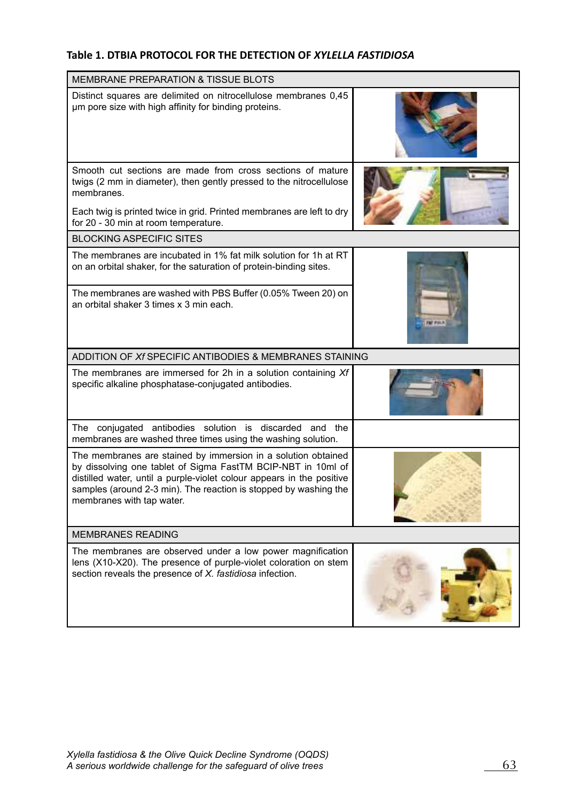## **Table 1. DTBIA PROTOCOL FOR THE DETECTION OF** *XYLELLA FASTIDIOSA*

| <b>MEMBRANE PREPARATION &amp; TISSUE BLOTS</b>                                                                                                                                                                                                                                                          |                  |
|---------------------------------------------------------------------------------------------------------------------------------------------------------------------------------------------------------------------------------------------------------------------------------------------------------|------------------|
| Distinct squares are delimited on nitrocellulose membranes 0.45<br>um pore size with high affinity for binding proteins.                                                                                                                                                                                |                  |
| Smooth cut sections are made from cross sections of mature<br>twigs (2 mm in diameter), then gently pressed to the nitrocellulose<br>membranes.<br>Each twig is printed twice in grid. Printed membranes are left to dry                                                                                |                  |
| for 20 - 30 min at room temperature.                                                                                                                                                                                                                                                                    |                  |
| <b>BLOCKING ASPECIFIC SITES</b>                                                                                                                                                                                                                                                                         |                  |
| The membranes are incubated in 1% fat milk solution for 1h at RT<br>on an orbital shaker, for the saturation of protein-binding sites.                                                                                                                                                                  |                  |
| The membranes are washed with PBS Buffer (0.05% Tween 20) on<br>an orbital shaker 3 times x 3 min each.                                                                                                                                                                                                 | <b>RAT JISLE</b> |
| ADDITION OF Xf SPECIFIC ANTIBODIES & MEMBRANES STAINING                                                                                                                                                                                                                                                 |                  |
| The membranes are immersed for 2h in a solution containing Xf<br>specific alkaline phosphatase-conjugated antibodies.                                                                                                                                                                                   |                  |
| The conjugated antibodies solution is discarded and the<br>membranes are washed three times using the washing solution.                                                                                                                                                                                 |                  |
| The membranes are stained by immersion in a solution obtained<br>by dissolving one tablet of Sigma FastTM BCIP-NBT in 10ml of<br>distilled water, until a purple-violet colour appears in the positive<br>samples (around 2-3 min). The reaction is stopped by washing the<br>membranes with tap water. |                  |
| <b>MEMBRANES READING</b>                                                                                                                                                                                                                                                                                |                  |
| The membranes are observed under a low power magnification<br>lens (X10-X20). The presence of purple-violet coloration on stem<br>section reveals the presence of X. fastidiosa infection.                                                                                                              |                  |